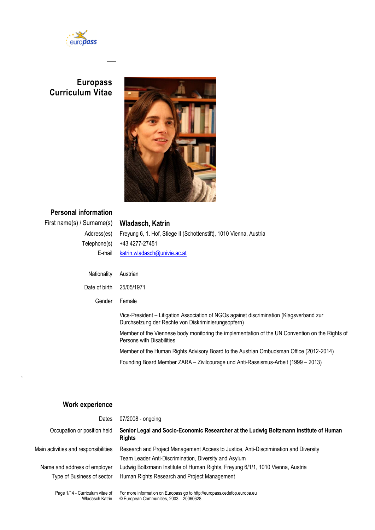

## **Europass Curriculum Vitae**



# **Personal information** First name(s) / Surname(s) **Wladasch, Katrin** Address(es) | Freyung 6, 1. Hof, Stiege II (Schottenstift), 1010 Vienna, Austria Telephone(s)  $+434277 - 27451$ E-mail [katrin.wladasch@univie.ac.at](mailto:katrin.wladasch@univie.ac.at) Nationality | Austrian Date of birth 25/05/1971 Gender Female Vice-President – Litigation Association of NGOs against discrimination (Klagsverband zur Durchsetzung der Rechte von Diskriminierungsopfern) Member of the Viennese body monitoring the implementation of the UN Convention on the Rights of Persons with Disabilities Member of the Human Rights Advisory Board to the Austrian Ombudsman Office (2012-2014) Founding Board Member ZARA – Zivilcourage und Anti-Rassismus-Arbeit (1999 – 2013)

## **Work experience**

| Dates                                | 07/2008 - ongoing                                                                                                                             |
|--------------------------------------|-----------------------------------------------------------------------------------------------------------------------------------------------|
| Occupation or position held          | Senior Legal and Socio-Economic Researcher at the Ludwig Boltzmann Institute of Human<br><b>Rights</b>                                        |
| Main activities and responsibilities | Research and Project Management Access to Justice, Anti-Discrimination and Diversity<br>Team Leader Anti-Discrimination, Diversity and Asylum |
| Name and address of employer         | Ludwig Boltzmann Institute of Human Rights, Freyung 6/1/1, 1010 Vienna, Austria                                                               |
| Type of Business of sector           | Human Rights Research and Project Management                                                                                                  |
| Page 1/14 - Curriculum vitae of      | For more information on Europass go to http://europass.cedefop.europa.eu                                                                      |

Wladasch Katrin © European Communities, 2003 20060628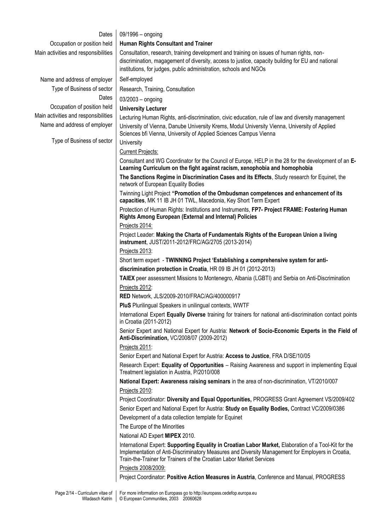| Dates                                | 09/1996 - ongoing                                                                                                                                                                                                                                                                  |  |  |  |  |  |
|--------------------------------------|------------------------------------------------------------------------------------------------------------------------------------------------------------------------------------------------------------------------------------------------------------------------------------|--|--|--|--|--|
| Occupation or position held          | Human Rights Consultant and Trainer                                                                                                                                                                                                                                                |  |  |  |  |  |
| Main activities and responsibilities | Consultation, research, training development and training on issues of human rights, non-                                                                                                                                                                                          |  |  |  |  |  |
|                                      | discrimination, magagement of diversity, access to justice, capacity building for EU and national                                                                                                                                                                                  |  |  |  |  |  |
|                                      | institutions, for judges, public administration, schools and NGOs                                                                                                                                                                                                                  |  |  |  |  |  |
| Name and address of employer         | Self-employed                                                                                                                                                                                                                                                                      |  |  |  |  |  |
| Type of Business of sector           | Research, Training, Consultation                                                                                                                                                                                                                                                   |  |  |  |  |  |
| Dates                                | $03/2003$ - ongoing                                                                                                                                                                                                                                                                |  |  |  |  |  |
| Occupation of position held          | <b>University Lecturer</b>                                                                                                                                                                                                                                                         |  |  |  |  |  |
| Main activities and responsibilities | Lecturing Human Rights, anti-discrimination, civic education, rule of law and diversity management                                                                                                                                                                                 |  |  |  |  |  |
| Name and address of employer         | University of Vienna, Danube University Krems, Modul University Vienna, University of Applied<br>Sciences bfi Vienna, University of Applied Sciences Campus Vienna                                                                                                                 |  |  |  |  |  |
| Type of Business of sector           | University                                                                                                                                                                                                                                                                         |  |  |  |  |  |
|                                      | <b>Current Projects:</b>                                                                                                                                                                                                                                                           |  |  |  |  |  |
|                                      | Consultant and WG Coordinator for the Council of Europe, HELP in the 28 for the development of an E-<br>Learning Curriculum on the fight against racism, xenophobia and homophobia                                                                                                 |  |  |  |  |  |
|                                      | The Sanctions Regime in Discrimination Cases and its Effects, Study research for Equinet, the<br>network of European Equality Bodies                                                                                                                                               |  |  |  |  |  |
|                                      | Twinning Light Project "Promotion of the Ombudsman competences and enhancement of its<br>capacities, MK 11 IB JH 01 TWL, Macedonia, Key Short Term Expert                                                                                                                          |  |  |  |  |  |
|                                      | Protection of Human Rights: Institutions and Instruments, FP7- Project FRAME: Fostering Human<br><b>Rights Among European (External and Internal) Policies</b>                                                                                                                     |  |  |  |  |  |
|                                      | Projects 2014:                                                                                                                                                                                                                                                                     |  |  |  |  |  |
|                                      | Project Leader: Making the Charta of Fundamentals Rights of the European Union a living<br>instrument, JUST/2011-2012/FRC/AG/2705 (2013-2014)                                                                                                                                      |  |  |  |  |  |
|                                      | Projects 2013:                                                                                                                                                                                                                                                                     |  |  |  |  |  |
|                                      | Short term expert - TWINNING Project 'Establishing a comprehensive system for anti-                                                                                                                                                                                                |  |  |  |  |  |
|                                      | discrimination protection in Croatia, HR 09 IB JH 01 (2012-2013)                                                                                                                                                                                                                   |  |  |  |  |  |
|                                      | TAIEX peer assessment Missions to Montenegro, Albania (LGBTI) and Serbia on Anti-Discrimination                                                                                                                                                                                    |  |  |  |  |  |
|                                      | Projects 2012:                                                                                                                                                                                                                                                                     |  |  |  |  |  |
|                                      | RED Network, JLS/2009-2010/FRAC/AG/400000917                                                                                                                                                                                                                                       |  |  |  |  |  |
|                                      | PluS Plurilingual Speakers in unilingual contexts, WWTF                                                                                                                                                                                                                            |  |  |  |  |  |
|                                      | International Expert Equally Diverse training for trainers for national anti-discrimination contact points<br>in Croatia (2011-2012)                                                                                                                                               |  |  |  |  |  |
|                                      | Senior Expert and National Expert for Austria: Network of Socio-Economic Experts in the Field of<br>Anti-Discrimination, VC/2008/07 (2009-2012)                                                                                                                                    |  |  |  |  |  |
|                                      | Projects 2011:                                                                                                                                                                                                                                                                     |  |  |  |  |  |
|                                      | Senior Expert and National Expert for Austria: Access to Justice, FRA D/SE/10/05                                                                                                                                                                                                   |  |  |  |  |  |
|                                      | Research Expert: Equality of Opportunities - Raising Awareness and support in implementing Equal<br>Treatment legislation in Austria, P/2010/008                                                                                                                                   |  |  |  |  |  |
|                                      | National Expert: Awareness raising seminars in the area of non-discrimination, VT/2010/007                                                                                                                                                                                         |  |  |  |  |  |
|                                      | Projects 2010:                                                                                                                                                                                                                                                                     |  |  |  |  |  |
|                                      | Project Coordinator: Diversity and Equal Opportunities, PROGRESS Grant Agreement VS/2009/402                                                                                                                                                                                       |  |  |  |  |  |
|                                      | Senior Expert and National Expert for Austria: Study on Equality Bodies, Contract VC/2009/0386                                                                                                                                                                                     |  |  |  |  |  |
|                                      | Development of a data collection template for Equinet                                                                                                                                                                                                                              |  |  |  |  |  |
|                                      | The Europe of the Minorities                                                                                                                                                                                                                                                       |  |  |  |  |  |
|                                      | National AD Expert MIPEX 2010.                                                                                                                                                                                                                                                     |  |  |  |  |  |
|                                      | International Expert: Supporting Equality in Croatian Labor Market, Elaboration of a Tool-Kit for the<br>Implementation of Anti-Discriminatory Measures and Diversity Management for Employers in Croatia,<br>Train-the-Trainer for Trainers of the Croatian Labor Market Services |  |  |  |  |  |
|                                      | Projects 2008/2009:                                                                                                                                                                                                                                                                |  |  |  |  |  |
|                                      | Project Coordinator: Positive Action Measures in Austria, Conference and Manual, PROGRESS                                                                                                                                                                                          |  |  |  |  |  |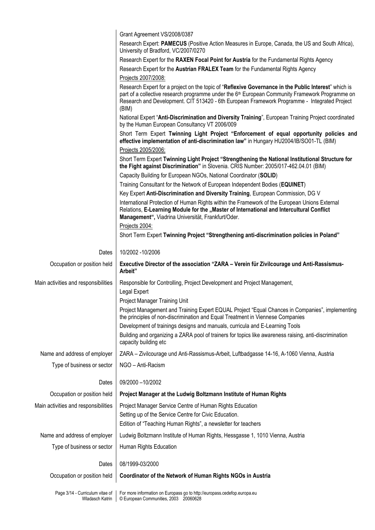|                                                    | Grant Agreement VS/2008/0387                                                                                                                                                                                                                                                                                                 |  |  |  |  |  |
|----------------------------------------------------|------------------------------------------------------------------------------------------------------------------------------------------------------------------------------------------------------------------------------------------------------------------------------------------------------------------------------|--|--|--|--|--|
|                                                    | Research Expert: PAMECUS (Positive Action Measures in Europe, Canada, the US and South Africa),<br>University of Bradford, VC/2007/0270                                                                                                                                                                                      |  |  |  |  |  |
|                                                    | Research Expert for the RAXEN Focal Point for Austria for the Fundamental Rights Agency                                                                                                                                                                                                                                      |  |  |  |  |  |
|                                                    | Research Expert for the Austrian FRALEX Team for the Fundamental Rights Agency                                                                                                                                                                                                                                               |  |  |  |  |  |
|                                                    | Projects 2007/2008:                                                                                                                                                                                                                                                                                                          |  |  |  |  |  |
|                                                    | Research Expert for a project on the topic of "Reflexive Governance in the Public Interest" which is<br>part of a collective research programme under the 6 <sup>th</sup> European Community Framework Programme on<br>Research and Development. CIT 513420 - 6th European Framework Programme - Integrated Project<br>(BIM) |  |  |  |  |  |
|                                                    | National Expert "Anti-Discrimination and Diversity Training", European Training Project coordinated<br>by the Human European Consultancy VT 2006/009                                                                                                                                                                         |  |  |  |  |  |
|                                                    | Short Term Expert Twinning Light Project "Enforcement of equal opportunity policies and<br>effective implementation of anti-discrimination law" in Hungary HU2004/IB/SO01-TL (BIM)                                                                                                                                           |  |  |  |  |  |
|                                                    | Projects 2005/2006:                                                                                                                                                                                                                                                                                                          |  |  |  |  |  |
|                                                    | Short Term Expert Twinning Light Project "Strengthening the National Institutional Structure for<br>the Fight against Discrimination" in Slovenia. CRIS Number: 2005/017-462.04.01 (BIM)                                                                                                                                     |  |  |  |  |  |
|                                                    | Capacity Building for European NGOs, National Coordinator (SOLID)                                                                                                                                                                                                                                                            |  |  |  |  |  |
|                                                    | Training Consultant for the Network of European Independent Bodies (EQUINET)                                                                                                                                                                                                                                                 |  |  |  |  |  |
|                                                    | Key Expert Anti-Discrimination and Diversity Training, European Commission, DG V                                                                                                                                                                                                                                             |  |  |  |  |  |
|                                                    | International Protection of Human Rights within the Framework of the European Unions External<br>Relations, E-Learning Module for the "Master of International and Intercultural Conflict<br>Management", Viadrina Universität, Frankfurt/Oder.                                                                              |  |  |  |  |  |
|                                                    | Projects 2004:                                                                                                                                                                                                                                                                                                               |  |  |  |  |  |
|                                                    | Short Term Expert Twinning Project "Strengthening anti-discrimination policies in Poland"                                                                                                                                                                                                                                    |  |  |  |  |  |
| Dates                                              | 10/2002 - 10/2006                                                                                                                                                                                                                                                                                                            |  |  |  |  |  |
| Occupation or position held                        | Executive Director of the association "ZARA - Verein für Zivilcourage und Anti-Rassismus-<br>Arbeit"                                                                                                                                                                                                                         |  |  |  |  |  |
| Main activities and responsibilities               | Responsible for Controlling, Project Development and Project Management,<br>Legal Expert                                                                                                                                                                                                                                     |  |  |  |  |  |
|                                                    | Project Manager Training Unit                                                                                                                                                                                                                                                                                                |  |  |  |  |  |
|                                                    | Project Management and Training Expert EQUAL Project "Equal Chances in Companies", implementing<br>the principles of non-discrimination and Equal Treatment in Viennese Companies                                                                                                                                            |  |  |  |  |  |
|                                                    | Development of trainings designs and manuals, curricula and E-Learning Tools                                                                                                                                                                                                                                                 |  |  |  |  |  |
|                                                    | Building and organizing a ZARA pool of trainers for topics like awareness raising, anti-discrimination<br>capacity building etc                                                                                                                                                                                              |  |  |  |  |  |
| Name and address of employer                       | ZARA - Zivilcourage und Anti-Rassismus-Arbeit, Luftbadgasse 14-16, A-1060 Vienna, Austria                                                                                                                                                                                                                                    |  |  |  |  |  |
| Type of business or sector                         | NGO - Anti-Racism                                                                                                                                                                                                                                                                                                            |  |  |  |  |  |
| Dates                                              | 09/2000 -10/2002                                                                                                                                                                                                                                                                                                             |  |  |  |  |  |
| Occupation or position held                        | Project Manager at the Ludwig Boltzmann Institute of Human Rights                                                                                                                                                                                                                                                            |  |  |  |  |  |
| Main activities and responsibilities               | Project Manager Service Centre of Human Rights Education<br>Setting up of the Service Centre for Civic Education.                                                                                                                                                                                                            |  |  |  |  |  |
|                                                    | Edition of "Teaching Human Rights", a newsletter for teachers                                                                                                                                                                                                                                                                |  |  |  |  |  |
| Name and address of employer                       | Ludwig Boltzmann Institute of Human Rights, Hessgasse 1, 1010 Vienna, Austria                                                                                                                                                                                                                                                |  |  |  |  |  |
| Type of business or sector                         | Human Rights Education                                                                                                                                                                                                                                                                                                       |  |  |  |  |  |
| Dates                                              | 08/1999-03/2000                                                                                                                                                                                                                                                                                                              |  |  |  |  |  |
| Occupation or position held                        | Coordinator of the Network of Human Rights NGOs in Austria                                                                                                                                                                                                                                                                   |  |  |  |  |  |
| Page 3/14 - Curriculum vitae of<br>Wladasch Katrin | For more information on Europass go to http://europass.cedefop.europa.eu<br>© European Communities, 2003 20060628                                                                                                                                                                                                            |  |  |  |  |  |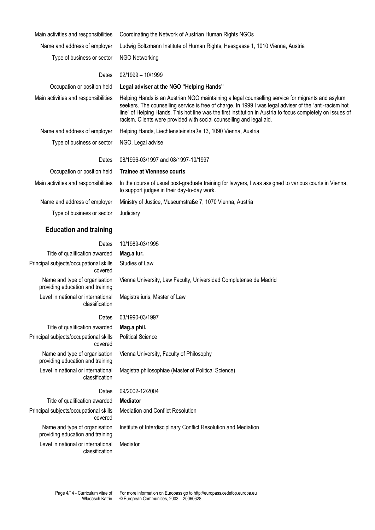| Main activities and responsibilities                              | Coordinating the Network of Austrian Human Rights NGOs                                                                                                                                                                                                                                                                                                                                             |  |  |  |  |  |
|-------------------------------------------------------------------|----------------------------------------------------------------------------------------------------------------------------------------------------------------------------------------------------------------------------------------------------------------------------------------------------------------------------------------------------------------------------------------------------|--|--|--|--|--|
| Name and address of employer                                      | Ludwig Boltzmann Institute of Human Rights, Hessgasse 1, 1010 Vienna, Austria                                                                                                                                                                                                                                                                                                                      |  |  |  |  |  |
| Type of business or sector                                        | <b>NGO Networking</b>                                                                                                                                                                                                                                                                                                                                                                              |  |  |  |  |  |
| Dates                                                             |                                                                                                                                                                                                                                                                                                                                                                                                    |  |  |  |  |  |
|                                                                   | 02/1999 - 10/1999                                                                                                                                                                                                                                                                                                                                                                                  |  |  |  |  |  |
| Occupation or position held                                       | Legal adviser at the NGO "Helping Hands"                                                                                                                                                                                                                                                                                                                                                           |  |  |  |  |  |
| Main activities and responsibilities                              | Helping Hands is an Austrian NGO maintaining a legal counselling service for migrants and asylum<br>seekers. The counselling service is free of charge. In 1999 I was legal adviser of the "anti-racism hot<br>line" of Helping Hands. This hot line was the first institution in Austria to focus completely on issues of<br>racism. Clients were provided with social counselling and legal aid. |  |  |  |  |  |
| Name and address of employer                                      | Helping Hands, Liechtensteinstraße 13, 1090 Vienna, Austria                                                                                                                                                                                                                                                                                                                                        |  |  |  |  |  |
| Type of business or sector                                        | NGO, Legal advise                                                                                                                                                                                                                                                                                                                                                                                  |  |  |  |  |  |
| Dates                                                             | 08/1996-03/1997 and 08/1997-10/1997                                                                                                                                                                                                                                                                                                                                                                |  |  |  |  |  |
| Occupation or position held                                       | <b>Trainee at Viennese courts</b>                                                                                                                                                                                                                                                                                                                                                                  |  |  |  |  |  |
| Main activities and responsibilities                              | In the course of usual post-graduate training for lawyers, I was assigned to various courts in Vienna,<br>to support judges in their day-to-day work.                                                                                                                                                                                                                                              |  |  |  |  |  |
| Name and address of employer                                      | Ministry of Justice, Museumstraße 7, 1070 Vienna, Austria                                                                                                                                                                                                                                                                                                                                          |  |  |  |  |  |
| Type of business or sector                                        | Judiciary                                                                                                                                                                                                                                                                                                                                                                                          |  |  |  |  |  |
| <b>Education and training</b>                                     |                                                                                                                                                                                                                                                                                                                                                                                                    |  |  |  |  |  |
| Dates                                                             | 10/1989-03/1995                                                                                                                                                                                                                                                                                                                                                                                    |  |  |  |  |  |
| Title of qualification awarded                                    | Mag.a iur.                                                                                                                                                                                                                                                                                                                                                                                         |  |  |  |  |  |
| Principal subjects/occupational skills<br>covered                 | Studies of Law                                                                                                                                                                                                                                                                                                                                                                                     |  |  |  |  |  |
| Name and type of organisation<br>providing education and training | Vienna University, Law Faculty, Universidad Complutense de Madrid                                                                                                                                                                                                                                                                                                                                  |  |  |  |  |  |
| Level in national or international<br>classification              | Magistra iuris, Master of Law                                                                                                                                                                                                                                                                                                                                                                      |  |  |  |  |  |
| Dates                                                             | 03/1990-03/1997                                                                                                                                                                                                                                                                                                                                                                                    |  |  |  |  |  |
| Title of qualification awarded                                    | Mag.a phil.                                                                                                                                                                                                                                                                                                                                                                                        |  |  |  |  |  |
| Principal subjects/occupational skills<br>covered                 | <b>Political Science</b>                                                                                                                                                                                                                                                                                                                                                                           |  |  |  |  |  |
| Name and type of organisation<br>providing education and training | Vienna University, Faculty of Philosophy                                                                                                                                                                                                                                                                                                                                                           |  |  |  |  |  |
| Level in national or international<br>classification              | Magistra philosophiae (Master of Political Science)                                                                                                                                                                                                                                                                                                                                                |  |  |  |  |  |
| Dates                                                             | 09/2002-12/2004                                                                                                                                                                                                                                                                                                                                                                                    |  |  |  |  |  |
| Title of qualification awarded                                    | <b>Mediator</b>                                                                                                                                                                                                                                                                                                                                                                                    |  |  |  |  |  |
| Principal subjects/occupational skills<br>covered                 | Mediation and Conflict Resolution                                                                                                                                                                                                                                                                                                                                                                  |  |  |  |  |  |
| Name and type of organisation<br>providing education and training | Institute of Interdisciplinary Conflict Resolution and Mediation                                                                                                                                                                                                                                                                                                                                   |  |  |  |  |  |
| Level in national or international<br>classification              | Mediator                                                                                                                                                                                                                                                                                                                                                                                           |  |  |  |  |  |
|                                                                   |                                                                                                                                                                                                                                                                                                                                                                                                    |  |  |  |  |  |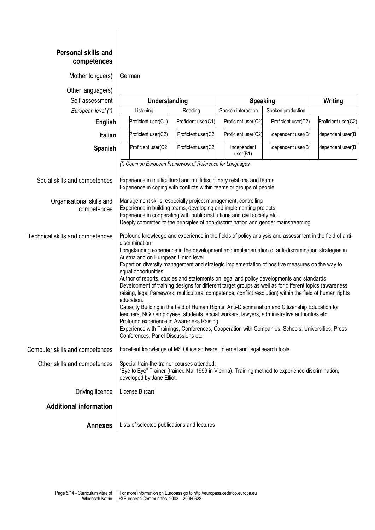| <b>Personal skills and</b><br>competences                  |                                                                                                                                                                                                                                                                                                                                                                                                                                                                                                                                                                                                                                                                                                                                                                                                                                                                                                                                                                                                                                                                                                                             |                     |                         |                     |                     |  |  |  |
|------------------------------------------------------------|-----------------------------------------------------------------------------------------------------------------------------------------------------------------------------------------------------------------------------------------------------------------------------------------------------------------------------------------------------------------------------------------------------------------------------------------------------------------------------------------------------------------------------------------------------------------------------------------------------------------------------------------------------------------------------------------------------------------------------------------------------------------------------------------------------------------------------------------------------------------------------------------------------------------------------------------------------------------------------------------------------------------------------------------------------------------------------------------------------------------------------|---------------------|-------------------------|---------------------|---------------------|--|--|--|
| Mother tongue(s)                                           | German                                                                                                                                                                                                                                                                                                                                                                                                                                                                                                                                                                                                                                                                                                                                                                                                                                                                                                                                                                                                                                                                                                                      |                     |                         |                     |                     |  |  |  |
| Other language(s)                                          |                                                                                                                                                                                                                                                                                                                                                                                                                                                                                                                                                                                                                                                                                                                                                                                                                                                                                                                                                                                                                                                                                                                             |                     |                         |                     |                     |  |  |  |
| Self-assessment                                            | Understanding                                                                                                                                                                                                                                                                                                                                                                                                                                                                                                                                                                                                                                                                                                                                                                                                                                                                                                                                                                                                                                                                                                               |                     | <b>Speaking</b>         |                     | Writing             |  |  |  |
| European level (*)                                         | Listening                                                                                                                                                                                                                                                                                                                                                                                                                                                                                                                                                                                                                                                                                                                                                                                                                                                                                                                                                                                                                                                                                                                   | Reading             | Spoken interaction      | Spoken production   |                     |  |  |  |
| English                                                    | Proficient user(C1)                                                                                                                                                                                                                                                                                                                                                                                                                                                                                                                                                                                                                                                                                                                                                                                                                                                                                                                                                                                                                                                                                                         | Proficient user(C1) | Proficient user(C2)     | Proficient user(C2) | Proficient user(C2) |  |  |  |
| <b>Italian</b>                                             | Proficient user(C2)                                                                                                                                                                                                                                                                                                                                                                                                                                                                                                                                                                                                                                                                                                                                                                                                                                                                                                                                                                                                                                                                                                         | Proficient user(C2  | Proficient user(C2)     | dependent user(B    | dependent user(B    |  |  |  |
| Spanish                                                    | Proficient user(C2                                                                                                                                                                                                                                                                                                                                                                                                                                                                                                                                                                                                                                                                                                                                                                                                                                                                                                                                                                                                                                                                                                          | Proficient user(C2  | Independent<br>user(B1) | dependent user(B    | dependent user(B    |  |  |  |
| Social skills and competences<br>Organisational skills and | (*) Common European Framework of Reference for Languages<br>Experience in multicultural and multidisciplinary relations and teams<br>Experience in coping with conflicts within teams or groups of people<br>Management skills, especially project management, controlling                                                                                                                                                                                                                                                                                                                                                                                                                                                                                                                                                                                                                                                                                                                                                                                                                                                  |                     |                         |                     |                     |  |  |  |
| competences                                                | Experience in building teams, developing and implementing projects,<br>Experience in cooperating with public institutions and civil society etc.<br>Deeply committed to the principles of non-discrimination and gender mainstreaming                                                                                                                                                                                                                                                                                                                                                                                                                                                                                                                                                                                                                                                                                                                                                                                                                                                                                       |                     |                         |                     |                     |  |  |  |
| Technical skills and competences                           | Profound knowledge and experience in the fields of policy analysis and assessment in the field of anti-<br>discrimination<br>Longstanding experience in the development and implementation of anti-discrimination strategies in<br>Austria and on European Union level<br>Expert on diversity management and strategic implementation of positive measures on the way to<br>equal opportunities<br>Author of reports, studies and statements on legal and policy developments and standards<br>Development of training designs for different target groups as well as for different topics (awareness<br>raising, legal framework, multicultural competence, conflict resolution) within the field of human rights<br>education.<br>Capacity Building in the field of Human Rights, Anti-Discrimination and Citizenship Education for<br>teachers, NGO employees, students, social workers, lawyers, administrative authorities etc.<br>Profound experience in Awareness Raising<br>Experience with Trainings, Conferences, Cooperation with Companies, Schools, Universities, Press<br>Conferences, Panel Discussions etc. |                     |                         |                     |                     |  |  |  |
| Computer skills and competences                            | Excellent knowledge of MS Office software, Internet and legal search tools                                                                                                                                                                                                                                                                                                                                                                                                                                                                                                                                                                                                                                                                                                                                                                                                                                                                                                                                                                                                                                                  |                     |                         |                     |                     |  |  |  |
| Other skills and competences                               | Special train-the-trainer courses attended:<br>"Eye to Eye" Trainer (trained Mai 1999 in Vienna). Training method to experience discrimination,<br>developed by Jane Elliot.                                                                                                                                                                                                                                                                                                                                                                                                                                                                                                                                                                                                                                                                                                                                                                                                                                                                                                                                                |                     |                         |                     |                     |  |  |  |
| Driving licence                                            | License B (car)                                                                                                                                                                                                                                                                                                                                                                                                                                                                                                                                                                                                                                                                                                                                                                                                                                                                                                                                                                                                                                                                                                             |                     |                         |                     |                     |  |  |  |
| <b>Additional information</b>                              |                                                                                                                                                                                                                                                                                                                                                                                                                                                                                                                                                                                                                                                                                                                                                                                                                                                                                                                                                                                                                                                                                                                             |                     |                         |                     |                     |  |  |  |
| <b>Annexes</b>                                             | Lists of selected publications and lectures                                                                                                                                                                                                                                                                                                                                                                                                                                                                                                                                                                                                                                                                                                                                                                                                                                                                                                                                                                                                                                                                                 |                     |                         |                     |                     |  |  |  |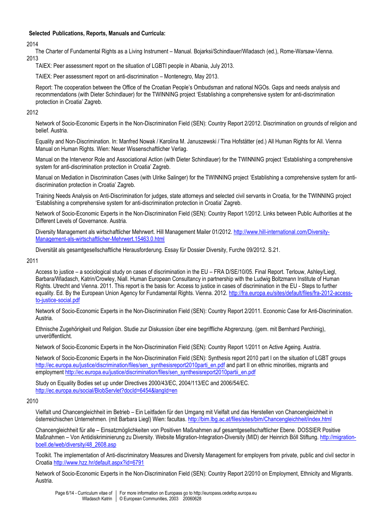## **Selected Publications, Reports, Manuals and Curricula:**

## 2014

 The Charter of Fundamental Rights as a Living Instrument – Manual. Bojarksi/Schindlauer/Wladasch (ed.), Rome-Warsaw-Vienna. 2013

TAIEX: Peer assessment report on the situation of LGBTI people in Albania, July 2013.

TAIEX: Peer assessment report on anti-discrimination – Montenegro, May 2013.

Report: The cooperation between the Office of the Croatian People's Ombudsman and national NGOs. Gaps and needs analysis and recommendations (with Dieter Schindlauer) for the TWINNING project 'Establishing a comprehensive system for anti-discrimination protection in Croatia' Zagreb.

## 2012

Network of Socio-Economic Experts in the Non-Discrimination Field (SEN): Country Report 2/2012. Discrimination on grounds of religion and belief. Austria.

Equality and Non-Discrimination. In: Manfred Nowak / Karolina M. Januszewski / Tina Hofstätter (ed.) All Human Rights for All. Vienna Manual on Human Rights. Wien: Neuer Wissenschaftlicher Verlag.

Manual on the Intervenor Role and Associational Action (with Dieter Schindlauer) for the TWINNING project 'Establishing a comprehensive system for anti-discrimination protection in Croatia' Zagreb.

Manual on Mediation in Discrimination Cases (with Ulrike Salinger) for the TWINNING project 'Establishing a comprehensive system for antidiscrimination protection in Croatia' Zagreb.

Training Needs Analysis on Anti-Discrimination for judges, state attorneys and selected civil servants in Croatia, for the TWINNING project 'Establishing a comprehensive system for anti-discrimination protection in Croatia' Zagreb.

Network of Socio-Economic Experts in the Non-Discrimination Field (SEN): Country Report 1/2012. Links between Public Authorities at the Different Levels of Governance. Austria.

Diversity Management als wirtschaftlicher Mehrwert. Hill Management Mailer 01/2012. [http://www.hill-international.com/Diversity-](http://www.hill-international.com/Diversity-Management-als-wirtschaftlicher-Mehrwert.15463.0.html)[Management-als-wirtschaftlicher-Mehrwert.15463.0.html](http://www.hill-international.com/Diversity-Management-als-wirtschaftlicher-Mehrwert.15463.0.html)

Diversität als gesamtgesellschaftliche Herausforderung. Essay für Dossier Diversity, Furche 09/2012. S.21.

## 2011

Access to justice – a sociological study on cases of discrimination in the EU – FRA D/SE/10/05. Final Report. Terlouw, Ashley/Liegl, Barbara/Wladasch, Katrin/Crowley, Niall. Human European Consultancy in partnership with the Ludwig Boltzmann Institute of Human Rights. Utrecht and Vienna. 2011. This report is the basis for: Access to justice in cases of discrimination in the EU - Steps to further equality. Ed. By the European Union Agency for Fundamental Rights. Vienna. 2012[. http://fra.europa.eu/sites/default/files/fra-2012-access](http://fra.europa.eu/sites/default/files/fra-2012-access-to-justice-social.pdf)[to-justice-social.pdf](http://fra.europa.eu/sites/default/files/fra-2012-access-to-justice-social.pdf)

Network of Socio-Economic Experts in the Non-Discrimination Field (SEN): Country Report 2/2011. Economic Case for Anti-Discrimination. Austria.

Ethnische Zugehörigkeit und Religion. Studie zur Diskussion über eine begriffliche Abgrenzung. (gem. mit Bernhard Perchinig), unveröffentlicht.

Network of Socio-Economic Experts in the Non-Discrimination Field (SEN): Country Report 1/2011 on Active Ageing. Austria.

Network of Socio-Economic Experts in the Non-Discrimination Field (SEN): Synthesis report 2010 part I on th[e situation of LGBT groups](http://ec.europa.eu/justice/discrimination/files/sen_synthesisreport2010parti_en.pdf) [http://ec.europa.eu/justice/discrimination/files/sen\\_synthesisreport2010parti\\_en.pdf](http://ec.europa.eu/justice/discrimination/files/sen_synthesisreport2010parti_en.pdf) and part II on [ethnic minorities, migrants and](http://ec.europa.eu/justice/discrimination/files/sen_synthesisreport2010partii_en.pdf)  [employment](http://ec.europa.eu/justice/discrimination/files/sen_synthesisreport2010partii_en.pdf) [http://ec.europa.eu/justice/discrimination/files/sen\\_synthesisreport2010partii\\_en.pdf](http://ec.europa.eu/justice/discrimination/files/sen_synthesisreport2010partii_en.pdf)

Study on Equality Bodies set up under Directives 2000/43/EC, 2004/113/EC and 2006/54/EC. <http://ec.europa.eu/social/BlobServlet?docId=6454&langId=en>

## 2010

Vielfalt und Chancengleichheit im Betrieb – Ein Leitfaden für den Umgang mit Vielfalt und das Herstellen von Chancengleichheit in österreichischen Unternehmen. (mit Barbara Liegl) Wien: facultas[. http://bim.lbg.ac.at/files/sites/bim/Chancengleichheit/index.html](http://bim.lbg.ac.at/files/sites/bim/Chancengleichheit/index.html) 

Chancengleichheit für alle – Einsatzmöglichkeiten von Positiven Maßnahmen auf gesamtgesellschaftlicher Ebene. DOSSIER Positive Maßnahmen – Von Antidiskriminierung zu Diversity. Website Migration-Integration-Diversity (MID) der Heinrich Böll Stiftung. [http://migration](http://migration-boell.de/web/diversity/48_2608.asp)[boell.de/web/diversity/48\\_2608.asp](http://migration-boell.de/web/diversity/48_2608.asp)

Toolkit. The implementation of Anti-discriminatory Measures and Diversity Management for employers from private, public and civil sector in Croati[a http://www.hzz.hr/default.aspx?id=6791](http://www.hzz.hr/default.aspx?id=6791)

Network of Socio-Economic Experts in the Non-Discrimination Field (SEN): Country Report 2/2010 on Employment, Ethnicity and Migrants. Austria.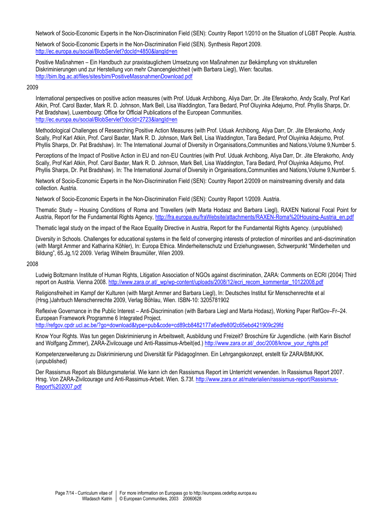Network of Socio-Economic Experts in the Non-Discrimination Field (SEN): Country Report 1/2010 on the Situation of LGBT People. Austria.

Network of Socio-Economic Experts in the Non-Discrimination Field (SEN). Synthesis Report 2009. <http://ec.europa.eu/social/BlobServlet?docId=4850&langId=en>

Positive Maßnahmen – Ein Handbuch zur praxistauglichem Umsetzung von Maßnahmen zur Bekämpfung von strukturellen Diskriminierungen und zur Herstellung von mehr Chancengleichheit (with Barbara Liegl), Wien: facultas. <http://bim.lbg.ac.at/files/sites/bim/PositiveMassnahmenDownload.pdf>

### 2009

International perspectives on positive action measures (with Prof. Uduak Archibong, Aliya Darr, Dr. Jite Eferakorho, Andy Scally, Prof Karl Atkin, Prof. Carol Baxter, Mark R. D. Johnson, Mark Bell, Lisa Waddington, Tara Bedard, Prof Oluyinka Adejumo, Prof. Phyllis Sharps, Dr. Pat Bradshaw), Luxembourg: Office for Official Publications of the European Communities. <http://ec.europa.eu/social/BlobServlet?docId=2723&langId=en>

Methodological Challenges of Researching Positive Action Measures (with Prof. Uduak Archibong, Aliya Darr, Dr. Jite Eferakorho, Andy Scally, Prof Karl Atkin, Prof. Carol Baxter, Mark R. D. Johnson, Mark Bell, Lisa Waddington, Tara Bedard, Prof Oluyinka Adejumo, Prof. Phyllis Sharps, Dr. Pat Bradshaw). In: The International Journal of Diversity in Organisations,Communities and Nations,Volume 9,Number 5.

Perceptions of the Impact of Positive Action in EU and non-EU Countries (with Prof. Uduak Archibong, Aliya Darr, Dr. Jite Eferakorho, Andy Scally, Prof Karl Atkin, Prof. Carol Baxter, Mark R. D. Johnson, Mark Bell, Lisa Waddington, Tara Bedard, Prof Oluyinka Adejumo, Prof. Phyllis Sharps, Dr. Pat Bradshaw). In: The International Journal of Diversity in Organisations,Communities and Nations,Volume 9,Number 5.

Network of Socio-Economic Experts in the Non-Discrimination Field (SEN): Country Report 2/2009 on mainstreaming diversity and data collection. Austria.

Network of Socio-Economic Experts in the Non-Discrimination Field (SEN): Country Report 1/2009. Austria.

Thematic Study – Housing Conditions of Roma and Travellers (with Marta Hodasz and Barbara Liegl), RAXEN National Focal Point for Austria, Report for the Fundamental Rights Agency, [http://fra.europa.eu/fraWebsite/attachments/RAXEN-Roma%20Housing-Austria\\_en.pdf](http://fra.europa.eu/fraWebsite/attachments/RAXEN-Roma%20Housing-Austria_en.pdf)

Thematic legal study on the impact of the Race Equality Directive in Austria, Report for the Fundamental Rights Agency. (unpublished)

Diversity in Schools. Challenges for educational systems in the field of converging interests of protection of minorities and anti-discrimination (with Margit Ammer and Katharina Köhler), In: Europa Ethica. Minderheitenschutz und Erziehungswesen, Schwerpunkt "Minderheiten und Bildung", 65.Jg,1/2 2009. Verlag Wilhelm Braumüller, Wien 2009.

#### 2008

Ludwig Boltzmann Institute of Human Rights, Litigation Association of NGOs against discrimination, ZARA: Comments on ECRI (2004) Third report on Austria. Vienna 2008[. http://www.zara.or.at/\\_wp/wp-content/uploads/2008/12/ecri\\_recom\\_kommentar\\_10122008.pdf](http://www.zara.or.at/_wp/wp-content/uploads/2008/12/ecri_recom_kommentar_10122008.pdf)

Religionsfreiheit im Kampf der Kulturen (with Margit Ammer and Barbara Liegl), In: Deutsches Institut für Menschenrechte et al (Hrsg.)Jahrbuch Menschenrechte 2009, Verlag Böhlau, Wien. ISBN-10: 3205781902

Reflexive Governance in the Public Interest – Anti-Discrimination (with Barbara Liegl and Marta Hodasz), Working Paper RefGov–Fr–24. European Framework Programme 6 Integrated Project.

<http://refgov.cpdr.ucl.ac.be/?go=download&type=pub&code=cd89cb8482177a6edfe80f2c65ebd421909c29fd>

Know Your Rights. Was tun gegen Diskriminierung in Arbeitswelt, Ausbildung und Freizeit? Broschüre für Jugendliche. (with Karin Bischof and Wolfgang Zimmer), ZARA-Zivilcouage und Anti-Rassimus-Arbeit(ed.) [http://www.zara.or.at/\\_doc/2008/know\\_your\\_rights.pdf](http://www.zara.or.at/_doc/2008/know_your_rights.pdf)

Kompetenzerweiterung zu Diskriminierung und Diversität für PädagogInnen. Ein Lehrgangskonzept, erstellt für ZARA/BMUKK. (unpublished)

Der Rassismus Report als Bildungsmaterial. Wie kann ich den Rassismus Report im Unterricht verwenden. In Rassismus Report 2007. Hrsg. Von ZARA-Zivilcourage und Anti-Rassimus-Arbeit. Wien. S.73f. [http://www.zara.or.at/materialien/rassismus-report/Rassismus-](http://www.zara.or.at/materialien/rassismus-report/Rassismus-Report%202007.pdf)[Report%202007.pdf](http://www.zara.or.at/materialien/rassismus-report/Rassismus-Report%202007.pdf)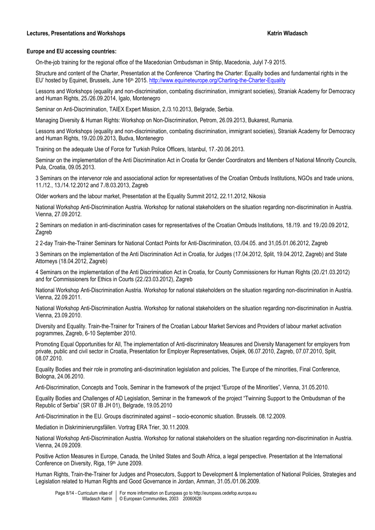### **Lectures, Presentations and Workshops Katrin Wladasch**

### **Europe and EU accessing countries:**

On-the-job training for the regional office of the Macedonian Ombudsman in Shtip, Macedonia, Julyl 7-9 2015.

Structure and content of the Charter, Presentation at the Conference 'Charting the Charter: Equality bodies and fundamental rights in the EU' hosted by Equinet, Brussels, June 16<sup>th</sup> 2015.<http://www.equineteurope.org/Charting-the-Charter-Equality>

Lessons and Workshops (equality and non-discrimination, combating discrimination, immigrant societies), Straniak Academy for Democracy and Human Rights, 25./26.09.2014, Igalo, Montenegro

Seminar on Anti-Discrimination, TAIEX Expert Mission, 2./3.10.2013, Belgrade, Serbia.

Managing Diversity & Human Rights: Workshop on Non-Discrimination, Petrom, 26.09.2013, Bukarest, Rumania.

Lessons and Workshops (equality and non-discrimination, combating discrimination, immigrant societies), Straniak Academy for Democracy and Human Rights, 19./20.09.2013, Budva, Montenegro

Training on the adequate Use of Force for Turkish Police Officers, Istanbul, 17.-20.06.2013.

Seminar on the implementation of the Anti Discrimination Act in Croatia for Gender Coordinators and Members of National Minority Councils, Pula, Croatia, 09.05.2013.

3 Seminars on the intervenor role and associational action for representatives of the Croatian Ombuds Institutions, NGOs and trade unions, 11./12., 13./14.12.2012 and 7./8.03.2013, Zagreb

Older workers and the labour market, Presentation at the Equality Summit 2012, 22.11.2012, Nikosia

National Workshop Anti-Discrimination Austria. Workshop for national stakeholders on the situation regarding non-discrimination in Austria. Vienna, 27.09.2012.

2 Seminars on mediation in anti-discrimination cases for representatives of the Croatian Ombuds Institutions, 18./19. and 19./20.09.2012, Zagreb

2 2-day Train-the-Trainer Seminars for National Contact Points for Anti-Discrimination, 03./04.05. and 31,05.01.06.2012, Zagreb

3 Seminars on the implementation of the Anti Discrimination Act in Croatia, for Judges (17.04.2012, Split, 19.04.2012, Zagreb) and State Attorneys (18.04.2012, Zagreb)

4 Seminars on the implementation of the Anti Discrimination Act in Croatia, for County Commissioners for Human Rights (20./21.03.2012) and for Commissioners for Ethics in Courts (22./23.03.2012), Zagreb

National Workshop Anti-Discrimination Austria. Workshop for national stakeholders on the situation regarding non-discrimination in Austria. Vienna, 22.09.2011.

National Workshop Anti-Discrimination Austria. Workshop for national stakeholders on the situation regarding non-discrimination in Austria. Vienna, 23.09.2010.

Diversity and Equality. Train-the-Trainer for Trainers of the Croatian Labour Market Services and Providers of labour market activation pogrammes, Zagreb, 6-10 September 2010.

Promoting Equal Opportunities for All, The implementation of Anti-discriminatory Measures and Diversity Management for employers from private, public and civil sector in Croatia, Presentation for Employer Representatives, Osijek, 06.07.2010, Zagreb, 07.07.2010, Split, 08.07.2010.

Equality Bodies and their role in promoting anti-discrimination legislation and policies, The Europe of the minorities, Final Conference, Bologna, 24.06.2010.

Anti-Discrimination, Concepts and Tools, Seminar in the framework of the project "Europe of the Minorities", Vienna, 31.05.2010.

Equality Bodies and Challenges of AD Legislation, Seminar in the framework of the project "Twinning Support to the Ombudsman of the Republic of Serbia" (SR 07 IB JH 01), Belgrade, 19.05.2010

Anti-Discrimination in the EU. Groups discriminated against – socio-economic situation. Brussels. 08.12.2009.

Mediation in Diskriminierungsfällen. Vortrag ERA Trier, 30.11.2009.

National Workshop Anti-Discrimination Austria. Workshop for national stakeholders on the situation regarding non-discrimination in Austria. Vienna, 24.09.2009.

Positive Action Measures in Europe, Canada, the United States and South Africa, a legal perspective. Presentation at the International Conference on Diversity, Riga, 19th June 2009.

Human Rights, Train-the-Trainer for Judges and Prosecutors, Support to Development & Implementation of National Policies, Strategies and Legislation related to Human Rights and Good Governance in Jordan, Amman, 31.05./01.06.2009.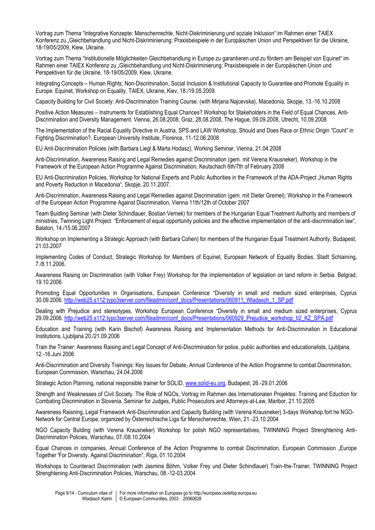Vortrag zum Thema "Integrative Konzepte: Menschenrechte, Nicht-Diskriminierung und soziale Inklusion" im Rahmen einer TAIEX Konferenz zu "Gleichbehandlung und Nicht-Diskriminierung: Praxisbeispiele in der Europäischen Union und Perspektiven für die Ukraine, 18-19/05/2009, Kiew, Ukraine.

Vortrag zum Thema "Institutionelle Möglichkeiten Gleichbehandlung in Europe zu garantieren und zu fördern am Beispiel von Equinet" im Rahmen einer TAIEX Konferenz zu "Gleichbehandlung und Nicht-Diskriminierung: Praxisbeispiele in der Europäischen Union und Perspektiven für die Ukraine, 18-19/05/2009, Kiew, Ukraine.

Integrating Concepts – Human Rights, Non-Discrimination, Social Inclusion & Institutional Capacity to Guarantee and Promote Equality in Europe: Equinet, Workshop on Equality, TAIEX, Ukraine, Kiev, 18./19.05.2009.

Capacity Building for Civil Society: Anti-Discrimination Training Course. (with Mirjana Najcevska), Macedonia, Skopje, 13.-16.10.2008

Positive Action Measures – Instruments for Establishing Equal Chances? Workshop for Stakeholders in the Field of Equal Chances, Anti-Discrimination and Diversity Management. Vienna, 26.08.2008, Graz, 28.08.2008, The Hague, 09.09.2008, Utrecht, 10.09.2008

The Implementation of the Racial Equality Directive in Austria, SPS and LAW Workshop, Should and Does Race or Ethnic Origin "Count" in Fighting Discrimination?, European University Institute, Florence, 11-12.06.2008

EU Anti-Discrimination Policies (with Barbara Liegl & Marta Hodasz), Working Seminar, Vienna, 21.04.2008

Anti-Discrimination, Awareness Raising and Legal Remedies against Discrimination (gem. mit Verena Krausneker), Workshop in the Framework of the European Action Programme Against Discrimination, Keutschach 6th/7th of February 2008

EU Anti-Discrimination Policies, Workshop for National Experts and Public Authorities in the Framework of the ADA-Project "Human Rights and Poverty Reduction in Macedonia", Skopje, 20.11.2007.

Anti-Discrimination, Awareness Raising and Legal Remedies against Discrimination (gem. mit Dieter Gremel), Workshop in the Framework of the European Action Programme Against Discrimination, Vienna 11th/12th of October 2007

Team Buidling Seminar (with Dieter Schindlauer, Bostian Vernek) for members of the Hungarian Equal Treatment Authority and members of ministries, Twinning Light Project "Enforcement of equal opportunity policies and the effective implementation of the anti-discrimination law", Balaton, 14./15.06.2007

Workshop on Implementing a Strategic Approach (with Barbara Cohen) for members of the Hungarian Equal Treatment Authority, Budapest, 21.03.2007

Implementing Codes of Conduct, Strategic Workshop for Members of Equinet, European Network of Equality Bodies. Stadt Schlaining, 7./8.11.2006.

Awareness Raising on Discrimination (with Volker Frey) Workshop for the implementation of legislation on land reform in Serbia. Belgrad, 19.10.2006.

Promoting Equal Opportunities in Organisations, European Conference "Diversity in small and medium sized enterprises, Cyprus 30.09.2006. [http://web25.s112.typo3server.com/fileadmin/conf\\_docs/Presentations/060911\\_Wladasch\\_1\\_SP.pdf](http://web25.s112.typo3server.com/fileadmin/conf_docs/Presentations/060911_Wladasch_1_SP.pdf)

Dealing with Prejudice and stereotypes, Workshop European Conference "Diversity in small and medium sized enterprises, Cyprus 29.09.2006. [http://web25.s112.typo3server.com/fileadmin/conf\\_docs/Presentations/060929\\_Prejudice\\_workshop\\_II2\\_KZ\\_SPA.pdf](http://web25.s112.typo3server.com/fileadmin/conf_docs/Presentations/060929_Prejudice_workshop_II2_KZ_SPA.pdf)

Education and Training (with Karin Bischof) Awareness Raising and Implementation Methods for Anti-Discrimination in Educational Institutions, Ljubljana 20./21.09.2006

Train the Trainer: Awareness Raising and Legal Concept of Anti-Discrimination for police, public authorities and educationalists, Ljubljana, 12.-16.Juni 2006

Anti-Discrimination and Diversity Trainings: Key Issues for Debate, Annual Conference of the Action Programme to combat Discrimination, European Commission, Warschau, 24.04.2006

Strategic Action Planning, national responsible trainer for SOLID[, www.solid-eu.org,](http://www.solid.org/) Budapest, 26.-29.01.2006

Strength and Weaknesses of Civil Society. The Role of NGOs, Vortrag im Rahmen des Internationalen Projektes: Training and Eduction for Combating Discrimination in Slovenia. Seminar for Judges, Public Prosecutors and Attorneys-at-Law, Maribor, 21.10.2005

Awareness Raisning, Legal Framework Anti-Discrimination and Capacity Building (with Verena Krausneker) 3-days Workshop fort he NGO-Network for Central Europe, organized by Österreichische Liga für Menschenrechte, Wien, 21.-23.10.2004

NGO Capacity Bulding (with Verena Krausneker) Workshop for polish NGO representatives, TWINNING Project Strenghtening Anti-Discrimination Policies, Warschau, 07./08.10.2004

Equal Chances in companies, Annual Conference of the Action Programme to combat Discrimination, European Commission "Europe Together 'For Diversity. Against Discrimination", Riga, 01.10.2004

Workshops to Counteract Discrimination (with Jasmine Böhm, Volker Frey und Dieter Schindlauer) Train-the-Trainer, TWINNING Project Strenghtening Anti-Discrimination Policies, Warschau, 08.-12-03.2004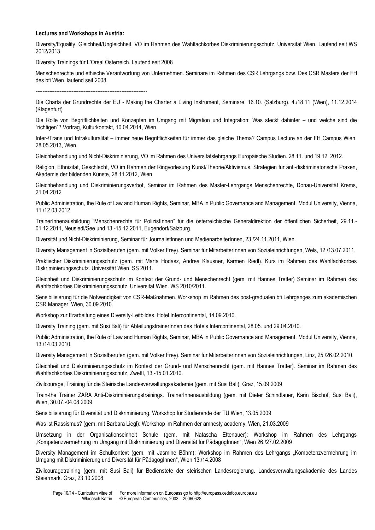#### **Lectures and Workshops in Austria:**

Diversity/Equality. Gleichheit/Ungleichheit. VO im Rahmen des Wahlfachkorbes Diskriminierungsschutz. Universität Wien. Laufend seit WS 2012/2013.

Diversity Trainings für L'Oreal Österreich. Laufend seit 2008

Menschenrechte und ethische Verantwortung von Unternehmen. Seminare im Rahmen des CSR Lehrgangs bzw. Des CSR Masters der FH des bfi Wien, laufend seit 2008.

-----------------------------------------------------------------

Die Charta der Grundrechte der EU - Making the Charter a Living Instrument, Seminare, 16.10. (Salzburg), 4./18.11 (Wien), 11.12.2014 (Klagenfurt)

Die Rolle von Begrifflichkeiten und Konzepten im Umgang mit Migration und Integration: Was steckt dahinter – und welche sind die "richtigen"? Vortrag, Kulturkontakt, 10.04.2014, Wien.

Inter-/Trans und Intrakulturalität – immer neue Begrifflichkeiten für immer das gleiche Thema? Campus Lecture an der FH Campus Wien, 28.05.2013, Wien.

Gleichbehandlung und Nicht-Diskriminierung, VO im Rahmen des Universitätslehrgangs Europäische Studien. 28.11. und 19.12. 2012.

Religion, Ethnizität, Geschlecht, VO im Rahmen der Ringvorlesung Kunst/Theorie/Aktivismus. Strategien für anti-diskriminatorische Praxen, Akademie der bildenden Künste, 28.11.2012, Wien

Gleichbehandlung und Diskriminierungsverbot, Seminar im Rahmen des Master-Lehrgangs Menschenrechte, Donau-Universität Krems, 21.04.2012

Public Administration, the Rule of Law and Human Rights, Seminar, MBA in Public Governance and Management. Modul University, Vienna, 11./12.03.2012

TrainerInnenausbildung "Menschenrechte für PolizistInnen" für die österreichische Generaldirektion der öffentlichen Sicherheit, 29.11.- 01.12.2011, Neusiedl/See und 13.-15.12.2011, Eugendorf/Salzburg.

Diversität und Nicht-Diskriminierung, Seminar für JournalistInnen und MedienarbeiterInnen, 23./24.11.2011, Wien.

Diversity Management in Sozialberufen (gem. mit Volker Frey). Seminar für MitarbeiterInnen von Sozialeinrichtungen, Wels, 12./13.07.2011.

Praktischer Diskriminierungsschutz (gem. mit Marta Hodasz, Andrea Klausner, Karmen Riedl). Kurs im Rahmen des Wahlfachkorbes Diskriminierungsschutz. Universität Wien. SS 2011.

Gleichheit und Diskriminierungsschutz im Kontext der Grund- und Menschenrecht (gem. mit Hannes Tretter) Seminar im Rahmen des Wahlfachkorbes Diskriminierungsschutz. Universität Wien. WS 2010/2011.

Sensibilisierung für die Notwendigkeit von CSR-Maßnahmen. Workshop im Rahmen des post-gradualen bfi Lehrganges zum akademischen CSR Manager. Wien, 30.09.2010.

Workshop zur Erarbeitung eines Diversity-Leitbildes, Hotel Intercontinental, 14.09.2010.

Diversity Training (gem. mit Susi Bali) für AbteilungstrainerInnen des Hotels Intercontinental, 28.05. und 29.04.2010.

Public Administration, the Rule of Law and Human Rights, Seminar, MBA in Public Governance and Management. Modul University, Vienna, 13./14.03.2010.

Diversity Management in Sozialberufen (gem. mit Volker Frey). Seminar für MitarbeiterInnen von Sozialeinrichtungen, Linz, 25./26.02.2010.

Gleichheit und Diskriminierungsschutz im Kontext der Grund- und Menschenrecht (gem. mit Hannes Tretter). Seminar im Rahmen des Wahlfachkorbes Diskriminierungsschutz, Zwettl, 13.-15.01.2010.

Zivilcourage, Training für die Steirische Landesverwaltungsakademie (gem. mit Susi Bali), Graz, 15.09.2009

Train-the Trainer ZARA Anti-Diskriminierungstrainings. TrainerInnenausbildung (gem. mit Dieter Schindlauer, Karin Bischof, Susi Bali), Wien, 30.07.-04.08.2009

Sensibilisierung für Diversität und Diskriminierung, Workshop für Studierende der TU Wien, 13.05.2009

Was ist Rassismus? (gem. mit Barbara Liegl): Workshop im Rahmen der amnesty academy, Wien, 21.03.2009

Umsetzung in der Organisationseinheit Schule (gem. mit Natascha Ettenauer): Workshop im Rahmen des Lehrgangs "Kompetenzvermehrung im Umgang mit Diskriminierung und Diversität für PädagogInnen", Wien 26./27.02.2009

Diversity Management im Schulkontext (gem. mit Jasmine Böhm): Workshop im Rahmen des Lehrgangs "Kompetenzvermehrung im Umgang mit Diskriminierung und Diversität für PädagogInnen", Wien 13./14.2008

Zivilcouragetraining (gem. mit Susi Bali) für Bedienstete der steirischen Landesregierung. Landesverwaltungsakademie des Landes Steiermark. Graz, 23.10.2008.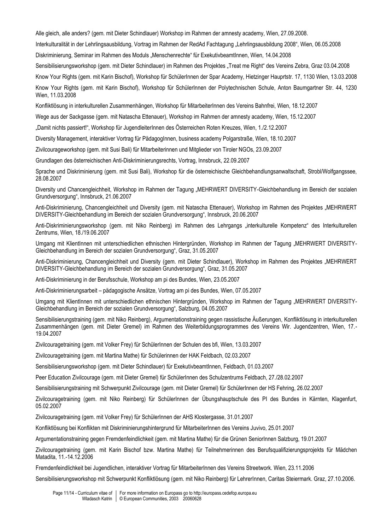Alle gleich, alle anders? (gem. mit Dieter Schindlauer) Workshop im Rahmen der amnesty academy, Wien, 27.09.2008.

Interkulturalität in der Lehrlingsausbildung, Vortrag im Rahmen der RedAd Fachtagung "Lehrlingsausbildung 2008", Wien, 06.05.2008

Diskriminierung, Seminar im Rahmen des Moduls "Menschenrechte" für ExekutivbeamtInnen, Wien, 14.04.2008

Sensibilisierungsworkshop (gem. mit Dieter Schindlauer) im Rahmen des Projektes "Treat me Right" des Vereins Zebra, Graz 03.04.2008

Know Your Rights (gem. mit Karin Bischof), Workshop für SchülerInnen der Spar Academy, Hietzinger Hauprtstr. 17, 1130 Wien, 13.03.2008

Know Your Rights (gem. mit Karin Bischof), Workshop für SchülerInnen der Polytechnischen Schule, Anton Baumgartner Str. 44, 1230 Wien, 11.03.2008

Konfliktlösung in interkulturellen Zusammenhängen, Workshop für MitarbeiterInnen des Vereins Bahnfrei, Wien, 18.12.2007

Wege aus der Sackgasse (gem. mit Natascha Ettenauer), Workshop im Rahmen der amnesty academy, Wien, 15.12.2007

"Damit nichts passiert!", Workshop für JugendleiterInnen des Österreichen Roten Kreuzes, Wien, 1./2.12.2007

Diversity Management, interaktiver Vortrag für PädagogInnen, business academy Polgarstraße, Wien, 18.10.2007

Zivilcourageworkshop (gem. mit Susi Bali) für Mitarbeiterinnen und Mitglieder von Tiroler NGOs, 23.09.2007

Grundlagen des österreichischen Anti-Diskriminierungsrechts, Vortrag, Innsbruck, 22.09.2007

Sprache und Diskriminierung (gem. mit Susi Bali), Workshop für die österreichische Gleichbehandlungsanwaltschaft, Strobl/Wolfgangssee, 28.08.2007

Diversity und Chancengleichheit, Workshop im Rahmen der Tagung "MEHRWERT DIVERSITY-Gleichbehandlung im Bereich der sozialen Grundversorgung", Innsbruck, 21.06.2007

Anti-Diskriminierung, Chancengleichheit und Diversity (gem. mit Natascha Ettenauer), Workshop im Rahmen des Projektes "MEHRWERT DIVERSITY-Gleichbehandlung im Bereich der sozialen Grundversorgung", Innsbruck, 20.06.2007

Anti-Diskriminierungsworkshop (gem. mit Niko Reinberg) im Rahmen des Lehrgangs "interkulturelle Kompetenz" des Interkulturellen Zentrums, Wien, 18./19.06.2007

Umgang mit KlientInnen mit unterschiedlichen ethnischen Hintergründen, Workshop im Rahmen der Tagung "MEHRWERT DIVERSITY-Gleichbehandlung im Bereich der sozialen Grundversorgung", Graz, 31.05.2007

Anti-Diskriminierung, Chancengleichheit und Diversity (gem. mit Dieter Schindlauer), Workshop im Rahmen des Projektes "MEHRWERT DIVERSITY-Gleichbehandlung im Bereich der sozialen Grundversorgung", Graz, 31.05.2007

Anti-Diskriminierung in der Berufsschule, Workshop am pi des Bundes, Wien, 23.05.2007

Anti-Diskriminierungsarbeit – pädagogische Ansätze, Vortrag am pi des Bundes, Wien, 07.05.2007

Umgang mit KlientInnen mit unterschiedlichen ethnischen Hintergründen, Workshop im Rahmen der Tagung "MEHRWERT DIVERSITY-Gleichbehandlung im Bereich der sozialen Grundversorgung", Salzburg, 04.05.2007

Sensibilisierungstraining (gem. mit Niko Reinberg), Argumentationstraining gegen rassistische Äußerungen, Konfliktlösung in interkulturellen Zusammenhängen (gem. mit Dieter Gremel) im Rahmen des Weiterbildungsprogrammes des Vereins Wir. Jugendzentren, Wien, 17.- 19.04.2007

Zivilcouragetraining (gem. mit Volker Frey) für SchülerInnen der Schulen des bfi, Wien, 13.03.2007

Zivilcouragetraining (gem. mit Martina Mathe) für Schülerinnen der HAK Feldbach, 02.03.2007

Sensibilisierungsworkshop (gem. mit Dieter Schindlauer) für ExekutivbeamtInnen, Feldbach, 01.03.2007

Peer Education Zivilcourage (gem. mit Dieter Gremel) für SchülerInnen des Schulzentrums Feldbach, 27./28.02.2007

Sensibilisierungstraining mit Schwerpunkt Zivilcourage (gem. mit Dieter Gremel) für SchülerInnen der HS Fehring, 26.02.2007

Zivilcouragetraining (gem. mit Niko Reinberg) für SchülerInnen der Übungshauptschule des PI des Bundes in Kärnten, Klagenfurt, 05.02.2007

Zivilcouragetraining (gem. mit Volker Frey) für SchülerInnen der AHS Klostergasse, 31.01.2007

Konfliktlösung bei Konflikten mit Diskriminierungshintergrund für MitarbeiterInnen des Vereins Juvivo, 25.01.2007

Argumentationstraining gegen Fremdenfeindlichkeit (gem. mit Martina Mathe) für die Grünen SeniorInnen Salzburg, 19.01.2007

Zivilcouragetraining (gem. mit Karin Bischof bzw. Martina Mathe) für Teilnehmerinnen des Berufsqualifizierungsprojekts für Mädchen Matadita, 11.-14.12.2006

Fremdenfeindlichkeit bei Jugendlichen, interaktiver Vortrag für MitarbeiterInnen des Vereins Streetwork. Wien, 23.11.2006

Sensibilisierungsworkshop mit Schwerpunkt Konfliktlösung (gem. mit Niko Reinberg) für LehrerInnen, Caritas Steiermark. Graz, 27.10.2006.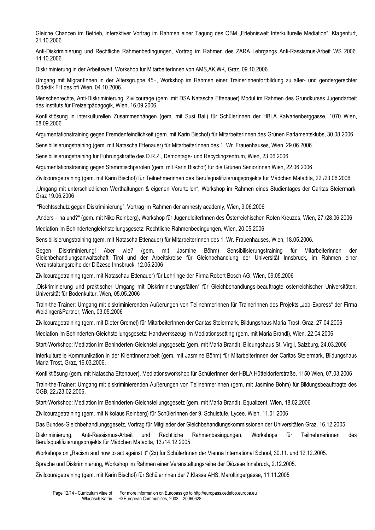Gleiche Chancen im Betrieb, interaktiver Vortrag im Rahmen einer Tagung des ÖBM "Erlebniswelt Interkulturelle Mediation", Klagenfurt, 21.10.2006

Anti-Diskriminierung und Rechtliche Rahmenbedingungen, Vortrag im Rahmen des ZARA Lehrgangs Anti-Rassismus-Arbeit WS 2006. 14.10.2006.

Diskriminierung in der Arbeitswelt, Workshop für MitarbeiterInnen von AMS,AK,WK, Graz, 09.10.2006.

Umgang mit MigrantInnen in der Altersgruppe 45+, Workshop im Rahmen einer TrainerInnenfortbildung zu alter- und gendergerechter Didaktik FH des bfi Wien, 04.10.2006.

Menschenrechte, Anti-Diskriminierung, Zivilcourage (gem. mit DSA Natascha Ettenauer) Modul im Rahmen des Grundkurses Jugendarbeit des Instituts für Freizeitpädagogik, Wien, 16.09.2006

Konfliktlösung in interkulturellen Zusammenhängen (gem. mit Susi Bali) für SchülerInnen der HBLA Kalvarienberggasse, 1070 Wien, 08.09.2006

Argumentationstraining gegen Fremdenfeindlichkeit (gem. mit Karin Bischof) für MitarbeiterInnen des Grünen Parlamentsklubs, 30.08.2006

Sensibilisierungstraining (gem. mit Natascha Ettenauer) für MitarbeiterInnen des 1. Wr. Frauenhauses, Wien, 29.06.2006.

Sensibilisierungstraining für Führungskräfte des D.R.Z., Demontage- und Recyclingzentrum, Wien, 23.06.2006

Argumentationstraining gegen Stammtischparolen (gem. mit Karin Bischof) für die Grünen SeniorInnen Wien, 22.06.2006

Zivilcouragetraining (gem. mit Karin Bischof) für Teilnehmerinnen des Berufsqualifizierungsprojekts für Mädchen Matadita, 22./23.06.2006

"Umgang mit unterschiedlichen Werthaltungen & eigenen Vorurteilen", Workshop im Rahmen eines Studientages der Caritas Steiermark, Graz 19.06.2006

"Rechtsschutz gegen Diskriminierung", Vortrag im Rahmen der amnesty academy, Wien, 9.06.2006

"Anders – na und?" (gem. mit Niko Reinberg), Workshop für JugendleiterInnen des Österreichischen Roten Kreuzes, Wien, 27./28.06.2006

Mediation im Behindertengleichstellungsgesetz: Rechtliche Rahmenbedingungen, Wien, 20.05.2006

Sensibilisierungstraining (gem. mit Natascha Ettenauer) für MitarbeiterInnen des 1. Wr. Frauenhauses, Wien, 18.05.2006.

Gegen Diskriminierung! Aber wie? (gem. mit Jasmine Böhm) Sensibilisierungstraining für Mitarbeiterinnen der Gleichbehandlungsanwaltschaft Tirol und der Arbeitskreise für Gleichbehandlung der Universität Innsbruck, im Rahmen einer Veranstaltungsreihe der Diözese Innsbruck, 12.05.2006

Zivilcouragetraining (gem. mit Nataschau Ettenauer) für Lehrlinge der Firma Robert Bosch AG, Wien, 09.05.2006

"Diskriminierung und praktischer Umgang mit Diskriminierungsfällen" für Gleichbehandlungs-beauftragte österreichischer Universitäten, Universität für Bodenkultur, Wien, 05.05.2006

Train-the-Trainer: Umgang mit diskriminierenden Äußerungen von TeilnehmerInnen für TrainerInnen des Projekts "Job-Express" der Firma Weidinger&Partner, Wien, 03.05.2006

Zivilcouragetraining (gem. mit Dieter Gremel) für MitarbeiterInnen der Caritas Steiermark, Bildungshaus Maria Trost, Graz, 27.04.2006

Mediation im Behinderten-Gleichstellungsgesetz: Handwerkszeug im Mediationssetting (gem. mit Maria Brandl), Wien, 22.04.2006

Start-Workshop: Mediation im Behinderten-Gleichstellungsgesetz (gem. mit Maria Brandl), Bildungshaus St. Virgil, Salzburg, 24.03.2006

Interkulturelle Kommunikation in der KlientInnenarbeit (gem. mit Jasmine Böhm) für MitarbeiterInnen der Caritas Steiermark, Bildungshaus Maria Trost, Graz, 16.03.2006.

Konfliktlösung (gem. mit Natascha Ettenauer), Mediationsworkshop für SchülerInnen der HBLA Hütteldorferstraße, 1150 Wien, 07.03.2006

Train-the-Trainer: Umgang mit diskriminierenden Äußerungen von TeilnehmerInnen (gem. mit Jasmine Böhm) für Bildungsbeauftragte des ÖGB, 22./23.02.2006.

Start-Workshop: Mediation im Behinderten-Gleichstellungsgesetz (gem. mit Maria Brandl), Equalizent, Wien, 18.02.2006

Zivilcouragetraining (gem. mit Nikolaus Reinberg) für SchülerInnen der 9. Schulstufe, Lycee. Wien. 11.01.2006

Das Bundes-Gleichbehandlungsgesetz, Vortrag für Mitglieder der Gleichbehandlungskommissionen der Universitäten Graz. 16.12.2005

Diskriminierung, Anti-Rassismus-Arbeit und Rechtliche Rahmenbesingungen, Workshops für Teilnehmerinnen des Berufsqualifizierungsprojekts für Mädchen Matadita, 13./14.12.2005

Workshops on "Racism and how to act against it" (2x) für SchülerInnen der Vienna International School, 30.11. und 12.12.2005.

Sprache und Diskriminierung, Workshop im Rahmen einer Veranstaltungsreihe der Diözese Innsbruck, 2.12.2005.

Zivilcouragetraining (gem. mit Karin Bischof) für SchülerInnen der 7.Klasse AHS, Maroltingergasse, 11.11.2005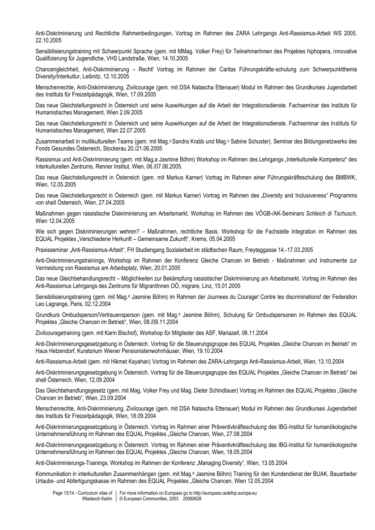Anti-Diskriminierung und Rechtliche Rahmenbedingungen, Vortrag im Rahmen des ZARA Lehrgangs Anti-Rassismus-Arbeit WS 2005. 22.10.2005

Sensibilisierungstraining mit Schwerpunkt Sprache (gem. mit MMag. Volker Frey) für TeilnehmerInnen des Projektes hiphopera, innovative Qualifizierung für Jugendliche, VHS Landstraße, Wien, 14.10.2005

Chancengleichheit, Anti-Diskriminierung – Recht! Vortrag im Rahmen der Caritas Führungskräfte-schulung zum Schwerpunktthema Diversity/Interkultur, Leibnitz, 12.10.2005

Menschenrechte, Anti-Diskriminierung, Zivilcourage (gem. mit DSA Natascha Ettenauer) Modul im Rahmen des Grundkurses Jugendarbeit des Instituts für Freizeitpädagogik, Wien, 17.09.2005

Das neue Gleichstellungsrecht in Österreich und seine Auswirkungen auf die Arbeit der Integrationsdienste. Fachseminar des Instituts für Humanistisches Management, Wien 2.09.2005

Das neue Gleichstellungsrecht in Österreich und seine Auswirkungen auf die Arbeit der Integrationsdienste. Fachseminar des Instituts für Humanistisches Management, Wien 22.07.2005

Zusammenarbeit in multikulturellen Teams (gem. mit Mag.<sup>a</sup> Sandra Krabb und Mag.<sup>a</sup> Sabine Schuster). Seminar des Bildungsnetzwerks des Fonds Gesundes Österreich, Stockerau 20./21.06.2005

Rassismus und Anti-Diskriminierung (gem. mit Mag.a Jasmine Böhm) Workshop im Rahmen des Lehrgangs "Interkulturelle Kompetenz" des Interkulturellen Zentrums, Renner Institut, Wien, 06./07.06.2005.

Das neue Gleichstellungsrecht in Österreich (gem. mit Markus Karner) Vortrag im Rahmen einer Führungskräfteschulung des BMBWK, Wien, 12.05.2005

Das neue Gleichstellungsrecht in Österreich (gem. mit Markus Karner) Vortrag im Rahmen des "Diversity and Inclusiveness" Programms von shell Österreich, Wien, 27.04.2005

Maßnahmen gegen rassistische Diskriminierung am Arbeitsmarkt, Workshop im Rahmen des VÖGB-/AK-Seminars *Schleich di Tschusch,*  Wien 12.04.2005

Wie sich gegen Diskriminierungen wehren? – Maßnahmen, rechtliche Basis. Workshop für die Fachstelle Integration im Rahmen des EQUAL Projektes "Verschiedene Herkunft – Gemeinsame Zukunft", Krems, 05.04.2005

Praxisseminar "Anti-Rassismus-Arbeit", FH Studiengang Sozialarbeit im städtischen Raum, Freytaggasse 14.-17.03.2005

Anti-Diskriminierungstrainings, Workshop im Rahmen der Konferenz Gleiche Chancen im Betrieb - Maßnahmen und Instrumente zur Vermeidung von Rassismus am Arbeitsplatz, Wien, 20.01.2005

Das neue Gleichbehandlungsrecht – Möglichkeiten zur Bekämpfung rassistischer Diskriminierung am Arbeitsmarkt. Vortrag im Rahmen des Anti-Rassismus Lehrgangs des Zentrums für MigrantInnen OÖ, migrare, Linz, 15.01.2005

Sensibilisierungstraining (gem. mit Mag.<sup>a</sup> Jasmine Böhm) im Rahmen der Journees du Courage! Contre les discriminations! der Federation Leo Lagrange, Paris, 02.12.2004

Grundkurs Ombudsperson/Vertrauensperson (gem. mit Mag.<sup>a</sup> Jasmine Böhm), Schulung für Ombudspersonen im Rahmen des EQUAL Projektes "Gleiche Chancen im Betrieb", Wien, 08./09.11.2004

Zivilcouragetraining (gem. mit Karin Bischof), Workshop für Mitglieder des ASF, Mariazell, 06.11.2004

Anti-Diskriminierungsgesetzgebung in Österreich. Vortrag für die Steuerungsgruppe des EQUAL Projektes "Gleiche Chancen im Betrieb" im Haus Hetzendorf, Kuratorium Wiener Pensionistenwohnhäuser, Wien, 19.10.2004

Anti-Rassismus-Arbeit (gem. mit Hikmet Kayahan) Vortrag im Rahmen des ZARA-Lehrgangs Anti-Rassismus-Arbeit, Wien, 13.10.2004

Anti-Diskriminierungsgesetzgebung in Österreich. Vortrag für die Steuerungsgruppe des EQUAL Projektes "Gleiche Chancen im Betrieb" bei shell Österreich, Wien, 12.09.2004

Das Gleichbehandlungsgesetz (gem. mit Mag. Volker Frey und Mag. Dieter Schindlauer) Vortrag im Rahmen des EQUAL Projektes "Gleiche Chancen im Betrieb", Wien, 23.09.2004

Menschenrechte, Anti-Diskriminierung, Zivilcourage (gem. mit DSA Natascha Ettenauer) Modul im Rahmen des Grundkurses Jugendarbeit des Instituts für Freizeitpädagogik, Wien, 18.09.2004

Anti-Diskriminierungsgesetzgebung in Österreich. Vortrag im Rahmen einer Präventivkräfteschulung des IBG-Institut für humanökologische Unternehmensführung im Rahmen des EQUAL Projektes "Gleiche Chancen, Wien, 27.08.2004

Anti-Diskriminierungsgesetzgebung in Österreich. Vortrag im Rahmen einer Präventivkräfteschulung des IBG-Institut für humanökologische Unternehmensführung im Rahmen des EQUAL Projektes "Gleiche Chancen, Wien, 18.05.2004

Anti-Diskriminierungs-Trainings. Workshop im Rahmen der Konferenz "Managing Diversity", Wien, 13.05.2004

Kommunikation in interkulturellen Zusammenhängen (gem. mit Mag.<sup>a</sup> Jasmine Böhm) Training für den Kundendienst der BUAK, Bauarbeiter Urlaubs- und Abfertigungskasse im Rahmen des EQUAL Projektes "Gleiche Chancen, Wien 12.05.2004